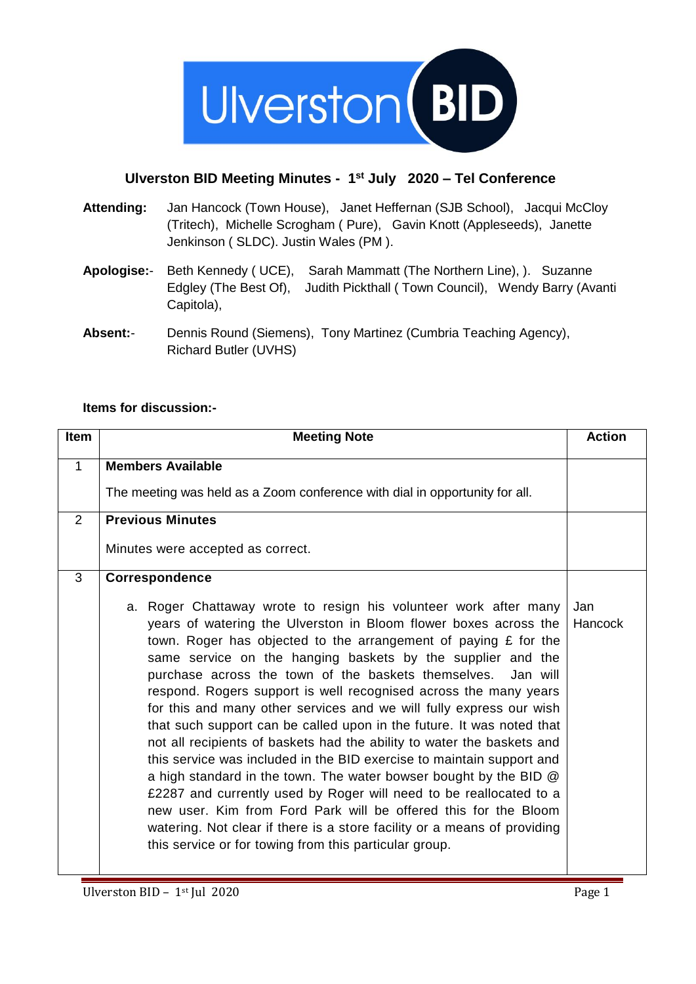

## **Ulverston BID Meeting Minutes - 1 st July 2020 – Tel Conference**

- **Attending:** Jan Hancock (Town House), Janet Heffernan (SJB School), Jacqui McCloy (Tritech), Michelle Scrogham ( Pure), Gavin Knott (Appleseeds), Janette Jenkinson ( SLDC). Justin Wales (PM ).
- **Apologise:** Beth Kennedy ( UCE), Sarah Mammatt (The Northern Line), ). Suzanne Edgley (The Best Of), Judith Pickthall ( Town Council), Wendy Barry (Avanti Capitola),
- **Absent:** Dennis Round (Siemens), Tony Martinez (Cumbria Teaching Agency), Richard Butler (UVHS)

## **Items for discussion:-**

| <b>Item</b>  | <b>Meeting Note</b>                                                                                                                                                                                                                                                                                                                                                                                                                                                                                                                                                                                                                                                                                                                                                                                                                                                                                                                                                                                                                                                                    | <b>Action</b>  |
|--------------|----------------------------------------------------------------------------------------------------------------------------------------------------------------------------------------------------------------------------------------------------------------------------------------------------------------------------------------------------------------------------------------------------------------------------------------------------------------------------------------------------------------------------------------------------------------------------------------------------------------------------------------------------------------------------------------------------------------------------------------------------------------------------------------------------------------------------------------------------------------------------------------------------------------------------------------------------------------------------------------------------------------------------------------------------------------------------------------|----------------|
| $\mathbf{1}$ | <b>Members Available</b><br>The meeting was held as a Zoom conference with dial in opportunity for all.                                                                                                                                                                                                                                                                                                                                                                                                                                                                                                                                                                                                                                                                                                                                                                                                                                                                                                                                                                                |                |
| 2            | <b>Previous Minutes</b><br>Minutes were accepted as correct.                                                                                                                                                                                                                                                                                                                                                                                                                                                                                                                                                                                                                                                                                                                                                                                                                                                                                                                                                                                                                           |                |
| 3            | Correspondence<br>a. Roger Chattaway wrote to resign his volunteer work after many<br>years of watering the Ulverston in Bloom flower boxes across the<br>town. Roger has objected to the arrangement of paying £ for the<br>same service on the hanging baskets by the supplier and the<br>purchase across the town of the baskets themselves.<br>Jan will<br>respond. Rogers support is well recognised across the many years<br>for this and many other services and we will fully express our wish<br>that such support can be called upon in the future. It was noted that<br>not all recipients of baskets had the ability to water the baskets and<br>this service was included in the BID exercise to maintain support and<br>a high standard in the town. The water bowser bought by the BID @<br>£2287 and currently used by Roger will need to be reallocated to a<br>new user. Kim from Ford Park will be offered this for the Bloom<br>watering. Not clear if there is a store facility or a means of providing<br>this service or for towing from this particular group. | Jan<br>Hancock |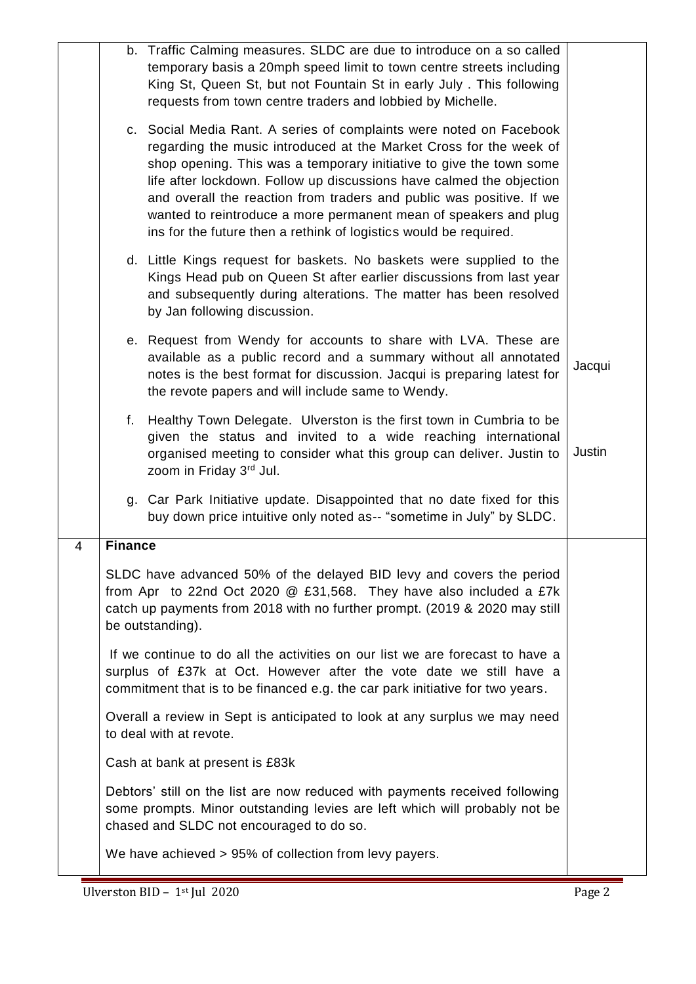|   |                                                                                                                                                                                                                                       | b. Traffic Calming measures. SLDC are due to introduce on a so called<br>temporary basis a 20mph speed limit to town centre streets including<br>King St, Queen St, but not Fountain St in early July. This following<br>requests from town centre traders and lobbied by Michelle.                                                                                                                                                                                                                       |        |
|---|---------------------------------------------------------------------------------------------------------------------------------------------------------------------------------------------------------------------------------------|-----------------------------------------------------------------------------------------------------------------------------------------------------------------------------------------------------------------------------------------------------------------------------------------------------------------------------------------------------------------------------------------------------------------------------------------------------------------------------------------------------------|--------|
|   |                                                                                                                                                                                                                                       | c. Social Media Rant. A series of complaints were noted on Facebook<br>regarding the music introduced at the Market Cross for the week of<br>shop opening. This was a temporary initiative to give the town some<br>life after lockdown. Follow up discussions have calmed the objection<br>and overall the reaction from traders and public was positive. If we<br>wanted to reintroduce a more permanent mean of speakers and plug<br>ins for the future then a rethink of logistics would be required. |        |
|   |                                                                                                                                                                                                                                       | d. Little Kings request for baskets. No baskets were supplied to the<br>Kings Head pub on Queen St after earlier discussions from last year<br>and subsequently during alterations. The matter has been resolved<br>by Jan following discussion.                                                                                                                                                                                                                                                          |        |
|   |                                                                                                                                                                                                                                       | e. Request from Wendy for accounts to share with LVA. These are<br>available as a public record and a summary without all annotated<br>notes is the best format for discussion. Jacqui is preparing latest for<br>the revote papers and will include same to Wendy.                                                                                                                                                                                                                                       | Jacqui |
|   |                                                                                                                                                                                                                                       | f. Healthy Town Delegate. Ulverston is the first town in Cumbria to be<br>given the status and invited to a wide reaching international<br>organised meeting to consider what this group can deliver. Justin to<br>zoom in Friday 3rd Jul.                                                                                                                                                                                                                                                                | Justin |
|   |                                                                                                                                                                                                                                       | g. Car Park Initiative update. Disappointed that no date fixed for this<br>buy down price intuitive only noted as-- "sometime in July" by SLDC.                                                                                                                                                                                                                                                                                                                                                           |        |
| 4 | <b>Finance</b>                                                                                                                                                                                                                        |                                                                                                                                                                                                                                                                                                                                                                                                                                                                                                           |        |
|   |                                                                                                                                                                                                                                       | SLDC have advanced 50% of the delayed BID levy and covers the period<br>from Apr to 22nd Oct 2020 @ £31,568. They have also included a £7k<br>catch up payments from 2018 with no further prompt. (2019 & 2020 may still<br>be outstanding).                                                                                                                                                                                                                                                              |        |
|   | If we continue to do all the activities on our list we are forecast to have a<br>surplus of £37k at Oct. However after the vote date we still have a<br>commitment that is to be financed e.g. the car park initiative for two years. |                                                                                                                                                                                                                                                                                                                                                                                                                                                                                                           |        |
|   |                                                                                                                                                                                                                                       | Overall a review in Sept is anticipated to look at any surplus we may need<br>to deal with at revote.                                                                                                                                                                                                                                                                                                                                                                                                     |        |
|   |                                                                                                                                                                                                                                       | Cash at bank at present is £83k                                                                                                                                                                                                                                                                                                                                                                                                                                                                           |        |
|   |                                                                                                                                                                                                                                       | Debtors' still on the list are now reduced with payments received following<br>some prompts. Minor outstanding levies are left which will probably not be<br>chased and SLDC not encouraged to do so.                                                                                                                                                                                                                                                                                                     |        |
|   |                                                                                                                                                                                                                                       | We have achieved > 95% of collection from levy payers.                                                                                                                                                                                                                                                                                                                                                                                                                                                    |        |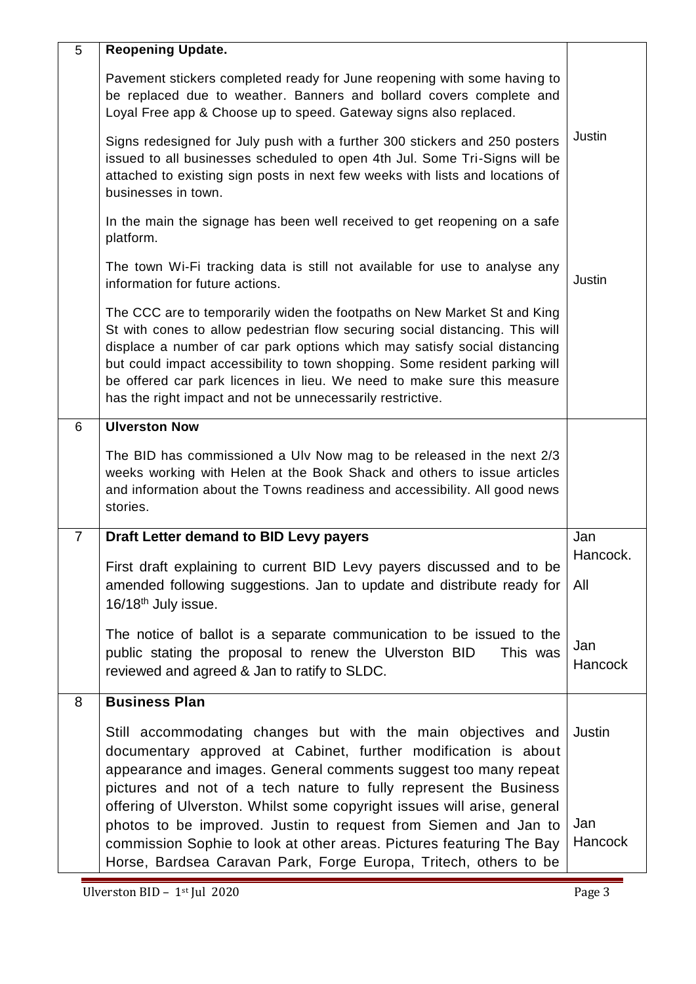| 5              | <b>Reopening Update.</b>                                                                                                                                                                                                                                                                                                                                                                                                                                                                                                                                         |                          |
|----------------|------------------------------------------------------------------------------------------------------------------------------------------------------------------------------------------------------------------------------------------------------------------------------------------------------------------------------------------------------------------------------------------------------------------------------------------------------------------------------------------------------------------------------------------------------------------|--------------------------|
|                | Pavement stickers completed ready for June reopening with some having to<br>be replaced due to weather. Banners and bollard covers complete and<br>Loyal Free app & Choose up to speed. Gateway signs also replaced.                                                                                                                                                                                                                                                                                                                                             |                          |
|                | Signs redesigned for July push with a further 300 stickers and 250 posters<br>issued to all businesses scheduled to open 4th Jul. Some Tri-Signs will be<br>attached to existing sign posts in next few weeks with lists and locations of<br>businesses in town.                                                                                                                                                                                                                                                                                                 | Justin                   |
|                | In the main the signage has been well received to get reopening on a safe<br>platform.                                                                                                                                                                                                                                                                                                                                                                                                                                                                           |                          |
|                | The town Wi-Fi tracking data is still not available for use to analyse any<br>information for future actions.                                                                                                                                                                                                                                                                                                                                                                                                                                                    | Justin                   |
|                | The CCC are to temporarily widen the footpaths on New Market St and King<br>St with cones to allow pedestrian flow securing social distancing. This will<br>displace a number of car park options which may satisfy social distancing<br>but could impact accessibility to town shopping. Some resident parking will<br>be offered car park licences in lieu. We need to make sure this measure<br>has the right impact and not be unnecessarily restrictive.                                                                                                    |                          |
| 6              | <b>Ulverston Now</b>                                                                                                                                                                                                                                                                                                                                                                                                                                                                                                                                             |                          |
|                | The BID has commissioned a Ulv Now mag to be released in the next 2/3<br>weeks working with Helen at the Book Shack and others to issue articles<br>and information about the Towns readiness and accessibility. All good news<br>stories.                                                                                                                                                                                                                                                                                                                       |                          |
| $\overline{7}$ | Draft Letter demand to BID Levy payers                                                                                                                                                                                                                                                                                                                                                                                                                                                                                                                           | Jan                      |
|                | First draft explaining to current BID Levy payers discussed and to be                                                                                                                                                                                                                                                                                                                                                                                                                                                                                            | Hancock.                 |
|                | amended following suggestions. Jan to update and distribute ready for<br>$16/18$ <sup>th</sup> July issue.                                                                                                                                                                                                                                                                                                                                                                                                                                                       | All                      |
|                | The notice of ballot is a separate communication to be issued to the<br>public stating the proposal to renew the Ulverston BID<br>This was<br>reviewed and agreed & Jan to ratify to SLDC.                                                                                                                                                                                                                                                                                                                                                                       | Jan<br><b>Hancock</b>    |
| 8              | <b>Business Plan</b>                                                                                                                                                                                                                                                                                                                                                                                                                                                                                                                                             |                          |
|                | Still accommodating changes but with the main objectives and<br>documentary approved at Cabinet, further modification is about<br>appearance and images. General comments suggest too many repeat<br>pictures and not of a tech nature to fully represent the Business<br>offering of Ulverston. Whilst some copyright issues will arise, general<br>photos to be improved. Justin to request from Siemen and Jan to<br>commission Sophie to look at other areas. Pictures featuring The Bay<br>Horse, Bardsea Caravan Park, Forge Europa, Tritech, others to be | Justin<br>Jan<br>Hancock |